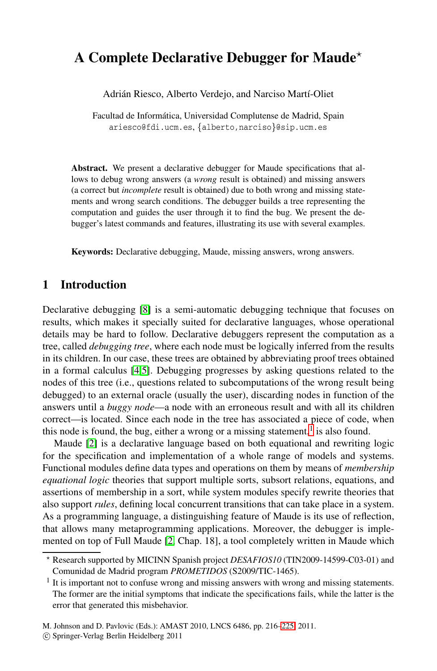# **A Complete Declarative Debugger for Maude**<sup>\*</sup>

Adrián Riesco, Alberto Verdejo, and Narciso Martí-Oliet

Facultad de Informática, Universidad Complutense de Madrid, Spain ariesco@fdi.ucm.es, *{*alberto,narciso*}*@sip.ucm.es

**Abstract.** We present a declarative debugger for Maude specifications that allows to debug wrong answers (a *wrong* result is obtained) and missing answers (a correct but *incomplete* result is obtained) due to both wrong and missing statements and wrong search conditions. The debugger builds a tree representing the computation and guides the user through it to find the bug. We present the debugger's latest commands and features, illustrating its use with several examples.

**Keywords:** Declarative debugging, Maude, missing answers, wrong answers.

## **1 [I](#page-9-1)ntroduction**

Declarative debugging [8] is a semi-automatic debugging technique that focuses on results, which makes it specially suited for declarative languages, whose operational details may be hard to follow. Declarative [de](#page-0-0)buggers represent the computation as a tree, called *debugging tree*, where each node must be logically inferred from the results in its children. In our case, these trees are obtained by abbreviating proof trees obtained in a formal calculus [4,5]. Debugging progresses by asking questions related to the nodes of this tree (i.e., questions related to subcomputations of the wrong result being debugged) to an external oracle (usually the user), discarding nodes in function of the answers until a *buggy node*—a node with an erroneous result and with all its children correct—is located. Since each node in the tree has associated a piece of code, when this node is found, the bug, either a wrong or a missing statement, $<sup>1</sup>$  is also found.</sup>

<span id="page-0-0"></span>Maude [\[2](#page-9-2)] is a declarative language based on both equational and rewriting logic for the specification and implementation of a whole range of models and systems. Functional modules define data types and operations on them by means of *membership equational logic* theories that support multiple sorts, subsort relations, equations, and assertions of membership in a sort, while system modules specify rewrite theories that also support *rules*, defining local concurrent transitions that can take place in a system. As a programming language, a distinguishing feature of Maude is its use of reflection, that allows many metaprogramming [app](#page-9-3)lications. Moreover, the debugger is implemented on top of Full Maude [2, Chap. 18], a tool completely written in Maude which

<sup>-</sup> Research supported by MICINN Spanish project *DESAFIOS10* (TIN2009-14599-C03-01) and Comunidad de Madrid program *PROMETIDOS* (S2009/TIC-1465).

<sup>&</sup>lt;sup>1</sup> It is important not to confuse wrong and missing answers with wrong and missing statements. The former are the initial symptoms that indicate the specifications fails, while the latter is the error that generated this misbehavior.

M. Johnson and D. Pavlovic (Eds.): AMAST 2010, LNCS 6486, pp. 216–225, 2011.

<sup>-</sup>c Springer-Verlag Berlin Heidelberg 2011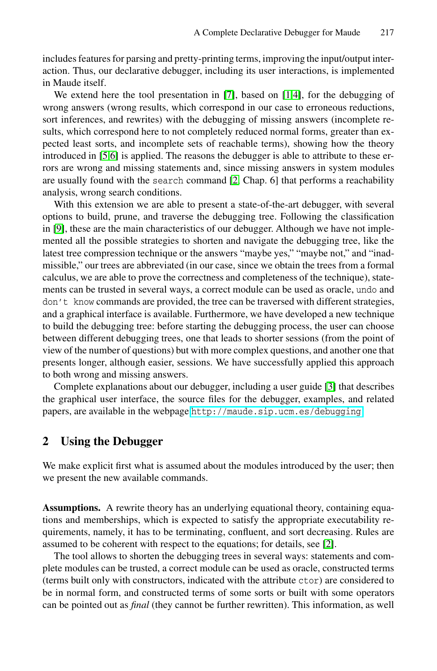includes features for parsing and pretty-printing terms, improving the input/output interaction. Thus, our declarative debugger, including its user interactions, is implemented in Maude itself.

We extend here the to[ol](#page-9-2) presentation in [7], based on [1,4], for the debugging of wrong answers (wrong results, which correspond in our case to erroneous reductions, sort inferences, and rewrites) with the debugging of missing answers (incomplete results, which correspond here to not completely reduced normal forms, greater than expected least sorts, and incomplete sets of reachable terms), showing how the theory introduced in [5,6] is applied. The reasons the debugger is able to attribute to these errors are wrong and missing statements and, since missing answers in system modules are usually found with the search command [2, Chap. 6] that performs a reachability analysis, wrong search conditions.

With this extension we are able to present a state-of-the-art debugger, with several options to build, prune, and traverse the debugging tree. Following the classification in [9], these are the main characteristics of our debugger. Although we have not implemented all the possible strategies to shorten and navigate the debugging tree, like the latest tree compression technique or the answers "maybe yes," "maybe not," and "inadmissible," our trees are abbreviated (in our case, since we obtain the trees from a formal calculus, we are able to prove the correctness and completeness of the technique), statements can be trusted in several ways, a correct m[od](#page-9-4)ule can be used as oracle, undo and don't know commands are provided, the tree can be traversed with different strategies, and a graphical [interface is available. Furthermore, we have](http://maude.sip.ucm.es/debugging) developed a new technique to build the debugging tree: before starting the debugging process, the user can choose between different debugging trees, one that leads to shorter sessions (from the point of view of the number of questions) but with more complex questions, and another one that presents longer, although easier, sessions. We have successfully applied this approach to both wrong and missing answers.

Complete explanations about our debugger, including a user guide [3] that describes the graphical user interface, the source files for the debugger, examples, and related papers, are available in the webpage http://maude.sip.ucm.es/debugging.

## **2 Using the Debugger**

We make explicit first what is assumed about the modules introduced by the user; then we present the new available commands.

**Assumptions.** A rewrite theory has an underlying equational theory, containing equations and memberships, which is expected to satisfy the appropriate executability requirements, namely, it has to be terminating, confluent, and sort decreasing. Rules are assumed to be coherent with respect to the equations; for details, see [2].

The tool allows to shorten the debugging trees in several ways: statements and complete modules can be trusted, a correct module can be used as oracle, constructed terms (terms built only with constructors, indicated with the attribute ctor) are considered to be in normal form, and constructed terms of some sorts or built with some operators can be pointed out as *final* (they cannot be further rewritten). This information, as well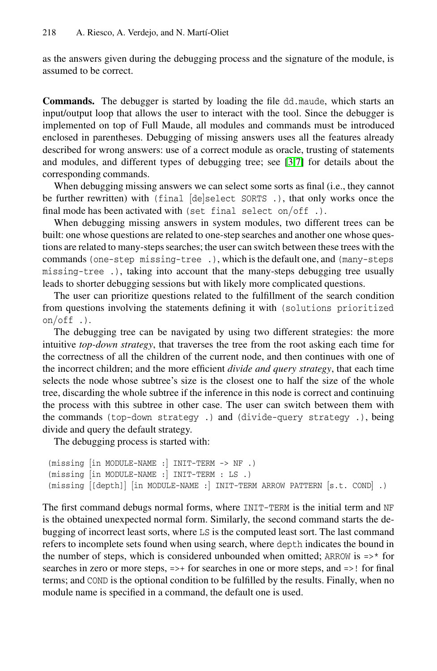as the answers given during the debug[gin](#page-9-4)[g](#page-9-5) process and the signature of the module, is assumed to be correct.

**Commands.** The debugger is started by loading the file dd.maude, which starts an input/output loop that allows the user to interact with the tool. Since the debugger is implemented on top of Full Maude, all modules and commands must be introduced enclosed in parentheses. Debugging of missing answers uses all the features already described for wrong answers: use of a correct module as oracle, trusting of statements and modules, and different types of debugging tree; see [3,7] for details about the corresponding commands.

When debugging missing answers we can select some sorts as final (i.e., they cannot be further rewritten) with (final [de]select SORTS .), that only works once the final mode has been activated with (set final select on/off .).

When debugging missing answers in system modules, two different trees can be built: one whose questions are related to one-step searches and another one whose questions are related to many-steps searches; the user can switch between these trees with the commands (one-step missing-tree .), which is the default one, and (many-steps missing-tree .), taking into account that the many-steps debugging tree usually leads to shorter debugging sessions but with likely more complicated questions.

The user can prioritize questions related to the fulfillment of the search condition from questions involving the statements defining it with (solutions prioritized on/off .).

The debugging tree can be navigated by using two different strategies: the more intuitive *top-down strategy*, that traverses the tree from the root asking each time for the correctness of all the children of the current node, and then continues with one of the incorrect children; and the more efficient *divide and query strategy*, that each time selects the node whose subtree's size is the closest one to half the size of the whole tree, discarding the whole subtree if the inference in this node is correct and continuing the process with this subtree in other case. The user can switch between them with the commands (top-down strategy .) and (divide-query strategy .), being divide and query the default strategy.

The debugging process is started with:

```
(missing [in MODULE-NAME :] INIT-TERM -> NF .)
(missing [in MODULE-NAME :] INIT-TERM : LS .)
(missing [[depth]] [in MODULE-NAME :] INIT-TERM ARROW PATTERN [s.t. COND] .)
```
The first command debugs normal forms, where INIT-TERM is the initial term and NF is the obtained unexpected normal form. Similarly, the second command starts the debugging of incorrect least sorts, where LS is the computed least sort. The last command refers to incomplete sets found when using search, where depth indicates the bound in the number of steps, which is considered unbounded when omitted; ARROW is  $\Rightarrow$  for searches in zero or more steps, =>+ for searches in one or more steps, and =>! for final terms; and COND is the optional condition to be fulfilled by the results. Finally, when no module name is specified in a command, the default one is used.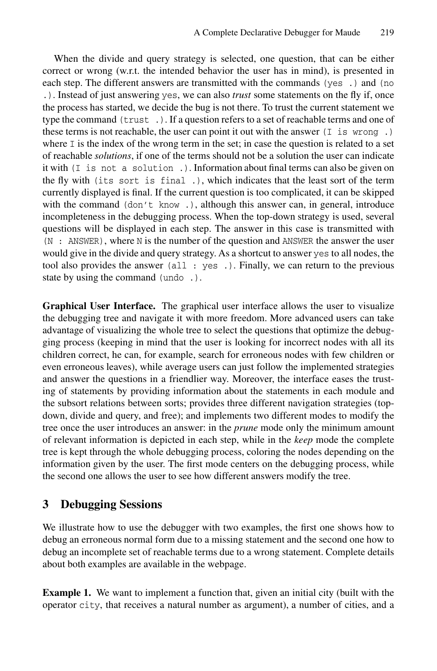When the divide and query strategy is selected, one question, that can be either correct or wrong (w.r.t. the intended behavior the user has in mind), is presented in each step. The different answers are transmitted with the commands (yes .) and (no .). Instead of just answering yes, we can also *trust* some statements on the fly if, once the process has started, we decide the bug is not there. To trust the current statement we type the command (trust .). If a question refers to a set of reachable terms and one of these terms is not reachable, the user can point it out with the answer  $(I \text{ is wrong })$ where I is the index of the wrong term in the set; in case the question is related to a set of reachable *solutions*, if one of the terms should not be a solution the user can indicate it with  $(I \text{ is not a solution }$ . Information about final terms can also be given on the fly with (its sort is final .), which indicates that the least sort of the term currently displayed is final. If the current question is too complicated, it can be skipped with the command  $(don't know ...)$ , although this answer can, in general, introduce incompleteness in the debugging process. When the top-down strategy is used, several questions will be displayed in each step. The answer in this case is transmitted with  $(N : ANSWER)$ , where N is the number of the question and ANSWER the answer the user would give in the divide and query strategy. As a shortcut to answer yes to all nodes, the tool also provides the answer (all : yes .). Finally, we can return to the previous state by using the command (undo .).

**Graphical User Interface.** The graphical user interface allows the user to visualize the debugging tree and navigate it with more freedom. More advanced users can take advantage of visualizing the whole tree to select the questions that optimize the debugging process (keeping in mind that the user is looking for incorrect nodes with all its children correct, he can, for example, search for erroneous nodes with few children or even erroneous leaves), while average users can just follow the implemented strategies and answer the questions in a friendlier way. Moreover, the interface eases the trusting of statements by providing information about the statements in each module and the subsort relations between sorts; provides three different navigation strategies (topdown, divide and query, and free); and implements two different modes to modify the tree once the user introduces an answer: in the *prune* mode only the minimum amount of relevant information is depicted in each step, while in the *keep* mode the complete tree is kept through the whole debugging process, coloring the nodes depending on the information given by the user. The first mode centers on the debugging process, while the second one allows the user to see how different answers modify the tree.

# **3 Debugging Sessions**

We illustrate how to use the debugger with two examples, the first one shows how to debug an erroneous normal form due to a missing statement and the second one how to debug an incomplete set of reachable terms due to a wrong statement. Complete details about both examples are available in the webpage.

**Example 1.** We want to implement a function that, given an initial city (built with the operator city, that receives a natural number as argument), a number of cities, and a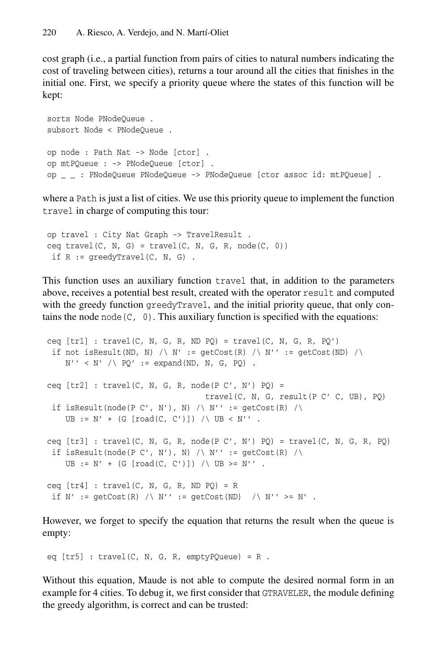cost graph (i.e., a partial function from pairs of cities to natural numbers indicating the cost of traveling between cities), returns a tour around all the cities that finishes in the initial one. First, we specify a priority queue where the states of this function will be kept:

```
sorts Node PNodeQueue .
subsort Node < PNodeQueue .
op node : Path Nat -> Node [ctor] .
op mtPQueue : -> PNodeQueue [ctor] .
op _ _ : PNodeQueue PNodeQueue -> PNodeQueue [ctor assoc id: mtPQueue] .
```
where a Path is just a list of cities. We use this priority queue to implement the function travel in charge of computing this tour:

```
op travel : City Nat Graph -> TravelResult .
ceq travel(C, N, G) = travel(C, N, G, R, node(C, 0))
 if R := \text{greedyTravel}(C, N, G).
```
This function uses an auxiliary function travel that, in addition to the parameters above, receives a potential best result, created with the operator result and computed with the greedy function greedyTravel, and the initial priority queue, that only contains the node node  $(C, 0)$ . This auxiliary function is specified with the equations:

```
ceq [tr1] : travel(C, N, G, R, ND PQ) = travel(C, N, G, R, PQ')
 if not isResult(ND, N) /\ N' := getCost(R) /\ N'' := getCost(ND) /\
    N'' < N' / PQ' := expand(ND, N, G, PQ).
ceq [tr2] : travel (C, N, G, R, node(P C', N')) PQ) =
                                  travel(C, N, G, result(P C' C, UB), PQ)
 if isResult(node(P C', N'), N) /\ N'' := getCost(R) /\
    UB := N' + (G [road(C, C')] ) / \bigcup US < N'' .
ceq [tr3] : travel(C, N, G, R, node(P C', N') PQ) = travel(C, N, G, R, PQ)
 if isResult(node(P C', N'), N) /\ N'' := getCost(R) /\
    UB := N' + (G [road(C, C')] ) / UB \geq N'.
ceq [tr4] : travel(C, N, G, R, ND PQ) = Rif N' := getCost(R) /\ N' := getCost(ND) /\ N'' >= N' .
```
However, we forget to specify the equation that returns the result when the queue is empty:

eq  $[tr5]$  :  $travel(C, N, G, R, emptyPQueue) = R$ .

Without this equation, Maude is not able to compute the desired normal form in an example for 4 cities. To debug it, we first consider that GTRAVELER, the module defining the greedy algorithm, is correct and can be trusted: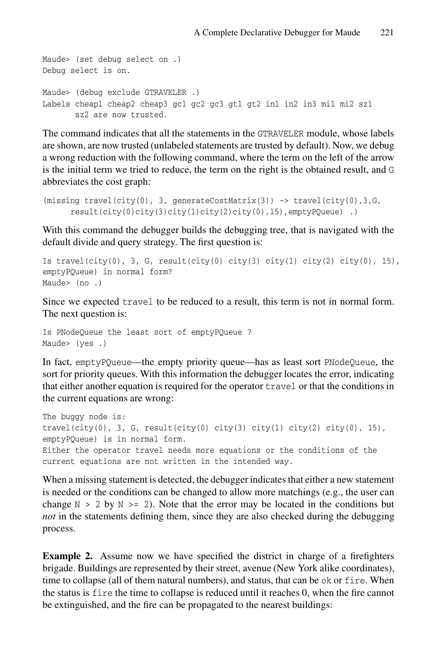```
Maude> (set debug select on .)
Debug select is on.
Maude> (debug exclude GTRAVELER .)
Labels cheap1 cheap2 cheap3 gc1 gc2 gc3 gt1 gt2 in1 in2 in3 mi1 mi2 sz1
       sz2 are now trusted.
```
The command indicates that all the statements in the GTRAVELER module, whose labels are shown, are now trusted (unlabeled statements are trusted by default). Now, we debug a wrong reduction with the following command, where the term on the left of the arrow is the initial term we tried to reduce, the term on the right is the obtained result, and G abbreviates the cost graph:

```
(missing travel(city(0), 3, generateCostMatrix(3)) \rightarrow travel(city(0),3,G,
      result(city(0)city(3)city(1)city(2)city(0),15),emptyPQueue) .)
```
With this command the debugger builds the debugging tree, that is navigated with the default divide and query strategy. The first question is:

```
Is travel(city(0), 3, G, result(city(0) city(3) city(1) city(2) city(0), 15),
emptyPQueue) in normal form?
Maude> (no .)
```
Since we expected travel to be reduced to a result, this term is not in normal form. The next question is:

Is PNodeQueue the least sort of emptyPQueue ? Maude> (yes .)

In fact, emptyPQueue—the empty priority queue—has as least sort PNodeQueue, the sort for priority queues. With this information the debugger locates the error, indicating that either another equation is required for the operator travel or that the conditions in the current equations are wrong:

```
The buggy node is:
travel(city(0), 3, G, result(city(0) city(3) city(1) city(2) city(0), 15),
emptyPQueue) is in normal form.
Either the operator travel needs more equations or the conditions of the
current equations are not written in the intended way.
```
When a missing statement is detected, the debugger indicates that either a new statement is needed or the conditions can be changed to allow more matchings (e.g., the user can change  $N > 2$  by  $N \ge 2$ ). Note that the error may be located in the conditions but *not* in the statements defining them, since they are also checked during the debugging process.

**Example 2.** Assume now we have specified the district in charge of a firefighters brigade. Buildings are represented by their street, avenue (New York alike coordinates), time to collapse (all of them natural numbers), and status, that can be ok or fire. When the status is fire the time to collapse is reduced until it reaches 0, when the fire cannot be extinguished, and the fire can be propagated to the nearest buildings: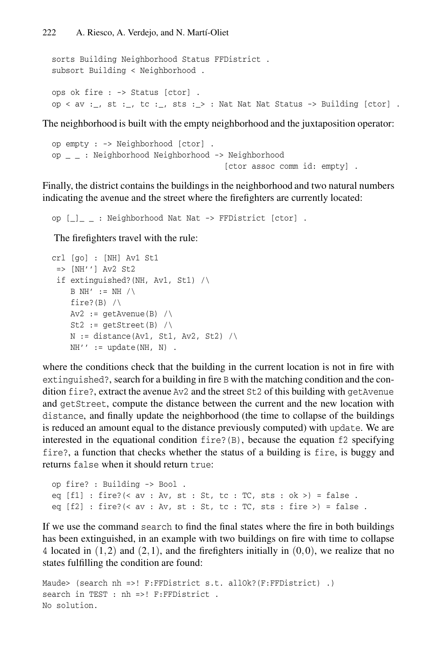sorts Building Neighborhood Status FFDistrict . subsort Building < Neighborhood . ops ok fire : -> Status [ctor] . op < av :\_, st :\_, tc :\_, sts :\_> : Nat Nat Nat Status -> Building [ctor].

The neighborhood is built with the empty neighborhood and the juxtaposition operator:

```
op empty : -> Neighborhood [ctor] .
op _ _ : Neighborhood Neighborhood -> Neighborhood
                                     [ctor assoc comm id: empty].
```
Finally, the district contains the buildings in the neighborhood and two natural numbers indicating the avenue and the street where the firefighters are currently located:

```
op [_]_ _ : Neighborhood Nat Nat -> FFDistrict [ctor] .
```
The firefighters travel with the rule:

```
crl [go] : [NH] Av1 St1
 => [NH''] Av2 St2
 if extinguished?(NH, Av1, St1) /\
    B NH' := NH /\setminusfire?(B) /\backslashAv2 := qetAvenue(B) /\
    St2 := getStreet(B) /\backslashN := distance(Av1, St1, Av2, St2) /\
    NH' := update(NH, N).
```
where the conditions check that the building in the current location is not in fire with extinguished?, search for a building in fire B with the matching condition and the condition fire?, extract the avenue Av2 and the street St2 of this building with getAvenue and getStreet, compute the distance between the current and the new location with distance, and finally update the neighborhood (the time to collapse of the buildings is reduced an amount equal to the distance previously computed) with update. We are interested in the equational condition fire?( $B$ ), because the equation f2 specifying fire?, a function that checks whether the status of a building is fire, is buggy and returns false when it should return true:

```
op fire? : Building -> Bool .
eq [fl] : fire?(< av : Av, st : St, tc : TC, sts : ok >) = false .
eq [f2] : fire?(< av : Av, st : St, tc : TC, sts : fire >) = false .
```
If we use the command search to find the final states where the fire in both buildings has been extinguished, in an example with two buildings on fire with time to collapse 4 located in  $(1,2)$  and  $(2,1)$ , and the firefighters initially in  $(0,0)$ , we realize that no states fulfilling the condition are found:

Maude> (search nh =>! F:FFDistrict s.t. allOk?(F:FFDistrict) .) search in TEST : nh =>! F:FFDistrict . No solution.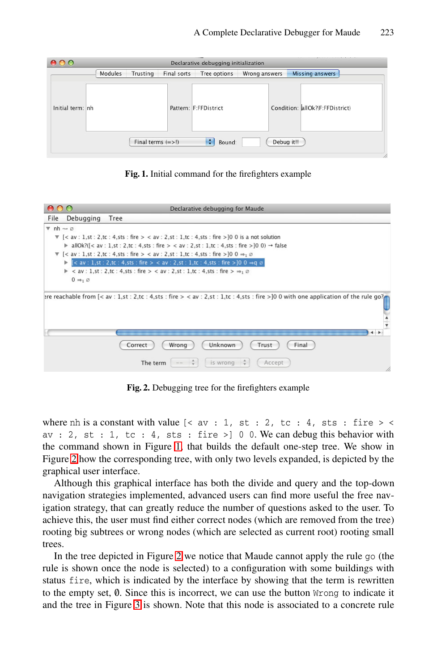#### A Complete Declarative Debugger for Maude 223

|                  | Declarative debugging initialization |                     |             |                       |               |                                 |
|------------------|--------------------------------------|---------------------|-------------|-----------------------|---------------|---------------------------------|
|                  | Modules                              | Trusting            | Final sorts | Tree options          | Wrong answers | <b>Missing answers</b>          |
| Initial term: nh |                                      |                     |             | Pattern: F:FFDistrict |               | Condition: allOk?(F:FFDistrict) |
|                  |                                      | Final terms $(=>!)$ |             | ÷<br>Bound:           | Debug it!!    |                                 |
|                  |                                      |                     |             |                       |               |                                 |

**Fig. 1.** Initial command for the firefighters example

<span id="page-7-0"></span>

|                                                | Declarative debugging for Maude                                                                                                                  |
|------------------------------------------------|--------------------------------------------------------------------------------------------------------------------------------------------------|
| File                                           | Debugging<br>Tree                                                                                                                                |
| $\overline{v}$ nh $\rightsquigarrow \emptyset$ |                                                                                                                                                  |
|                                                | $\mathbb{V}$ [< av : 1,st : 2,tc : 4,sts : fire > < av : 2,st : 1,tc : 4,sts : fire >  0 0 is a not solution                                     |
|                                                | $\blacktriangleright$ allOk?([< av : 1,st : 2,tc : 4,sts : fire > < av : 2,st : 1,tc : 4,sts : fire > [0 0) $\rightarrow$ false                  |
|                                                | $\mathbb{V}$ [< av : 1, st : 2, tc : 4, sts : fire > < av : 2, st : 1, tc : 4, sts : fire > $]0 \Rightarrow_1 \emptyset$                         |
|                                                | $\triangleright$ $\lfloor$ < av : 1, st : 2, tc : 4, sts : fire > < av : 2, st : 1, tc : 4, sts : fire > $\rfloor$ 0 0 $\Rightarrow$ q $\oslash$ |
|                                                | $\triangleright$ < av : 1, st : 2, tc : 4, sts : fire > < av : 2, st : 1, tc : 4, sts : fire > $\Rightarrow$ 0                                   |
|                                                | $0 \Rightarrow_1 \emptyset$                                                                                                                      |
|                                                | ere reachable from $\ll$ av : 1,st : 2,tc : 4,sts : fire $>$ < av : 2,st : 1,tc : 4,sts : fire > 10 0 with one application of the rule go?       |
|                                                | Final<br>Correct<br>Unknown<br>Trust<br>Wrong                                                                                                    |
|                                                | The term<br>is wrong<br>Accept<br>4.                                                                                                             |

**Fig. 2.** Debugging tree for the firefighters example

where nh is a constant with value  $\left[ \langle av : 1, st : 2, tc : 4, sts : fire \rangle \right]$ av : 2, st : 1, tc : 4, sts : fire >  $] 0 0$ . We can debug this behavior with the command shown in Figure 1, that builds the default one-step tree. We show in Figure 2 ho[w](#page-7-0) the corresponding tree, with only two levels expanded, is depicted by the graphical user interface.

Although this graphical interface has both the divide and query and the top-down navigation strategies implemented, advanced users can find more useful the free navi[gat](#page-8-0)ion strategy, that can greatly reduce the number of questions asked to the user. To achieve this, the user must find either correct nodes (which are removed from the tree) rooting big subtrees or wrong nodes (which are selected as current root) rooting small trees.

In the tree depicted in Figure 2 we notice that Maude cannot apply the rule go (the rule is shown once the node is selected) to a configuration with some buildings with status fire, which is indicated by the interface by showing that the term is rewritten to the empty set,  $\emptyset$ . Since this is incorrect, we can use the button Wrong to indicate it and the tree in Figure 3 is shown. Note that this node is associated to a concrete rule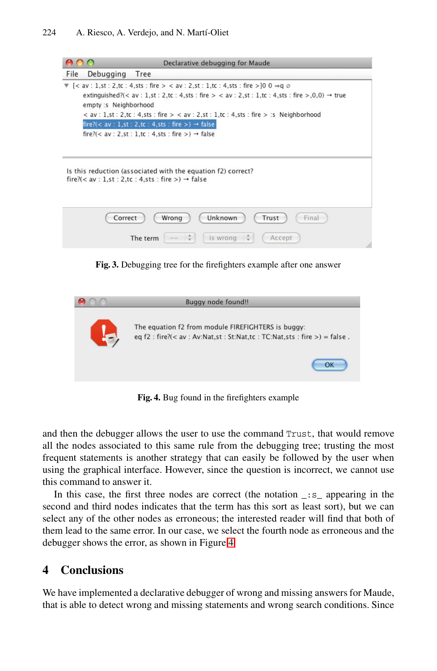#### 224 A. Riesco, A. Verdejo, and N. Martí-Oliet



<span id="page-8-0"></span>**Fig. 3.** Debugging tree for the firefighters example after one answer

<span id="page-8-1"></span>

**Fig. 4.** Bug found in the firefighters example

and then the debugger allows the user to use the command Trust, that would remove all the nodes associated [to](#page-8-1) this same rule from the debugging tree; trusting the most frequent statements is another strategy that can easily be followed by the user when using the graphical interface. However, since the question is incorrect, we cannot use this command to answer it.

In this case, the first three nodes are correct (the notation \_:s\_ appearing in the second and third nodes indicates that the term has this sort as least sort), but we can select any of the other nodes as erroneous; the interested reader will find that both of them lead to the same error. In our case, we select the fourth node as erroneous and the debugger shows the error, as shown in Figure 4.

# **4 Conclusions**

We have implemented a declarative debugger of wrong and missing answers for Maude, that is able to detect wrong and missing statements and wrong search conditions. Since